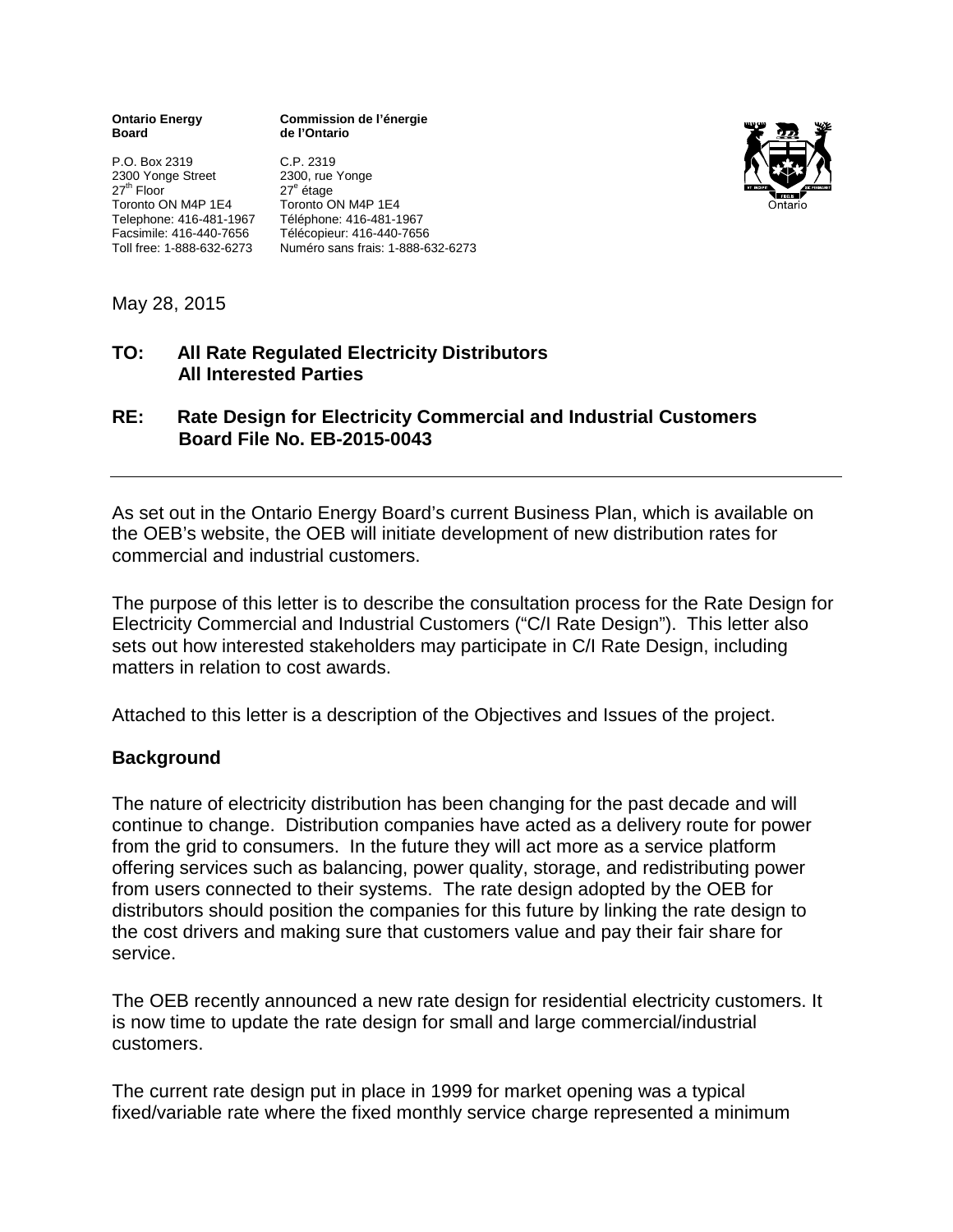| <b>Ontario Energy</b> |  |
|-----------------------|--|
| Board                 |  |

P.O. Box 2319 C.P. 2319 2300 Yonge Street<br>27<sup>th</sup> Floor Toronto ON M4P 1E4 Telephone: 416-481-1967 Téléphone: 416-481-1967 Facsimile: 416-440-7656 Télécopieur: 416-440-7656

**Commission de l'énergie Board de l'Ontario**





May 28, 2015

## **TO: All Rate Regulated Electricity Distributors All Interested Parties**

# **RE: Rate Design for Electricity Commercial and Industrial Customers Board File No. EB-2015-0043**

As set out in the Ontario Energy Board's current Business Plan, which is available on the OEB's website, the OEB will initiate development of new distribution rates for commercial and industrial customers.

The purpose of this letter is to describe the consultation process for the Rate Design for Electricity Commercial and Industrial Customers ("C/I Rate Design"). This letter also sets out how interested stakeholders may participate in C/I Rate Design, including matters in relation to cost awards.

Attached to this letter is a description of the Objectives and Issues of the project.

## **Background**

The nature of electricity distribution has been changing for the past decade and will continue to change. Distribution companies have acted as a delivery route for power from the grid to consumers. In the future they will act more as a service platform offering services such as balancing, power quality, storage, and redistributing power from users connected to their systems. The rate design adopted by the OEB for distributors should position the companies for this future by linking the rate design to the cost drivers and making sure that customers value and pay their fair share for service.

The OEB recently announced a new rate design for residential electricity customers. It is now time to update the rate design for small and large commercial/industrial customers.

The current rate design put in place in 1999 for market opening was a typical fixed/variable rate where the fixed monthly service charge represented a minimum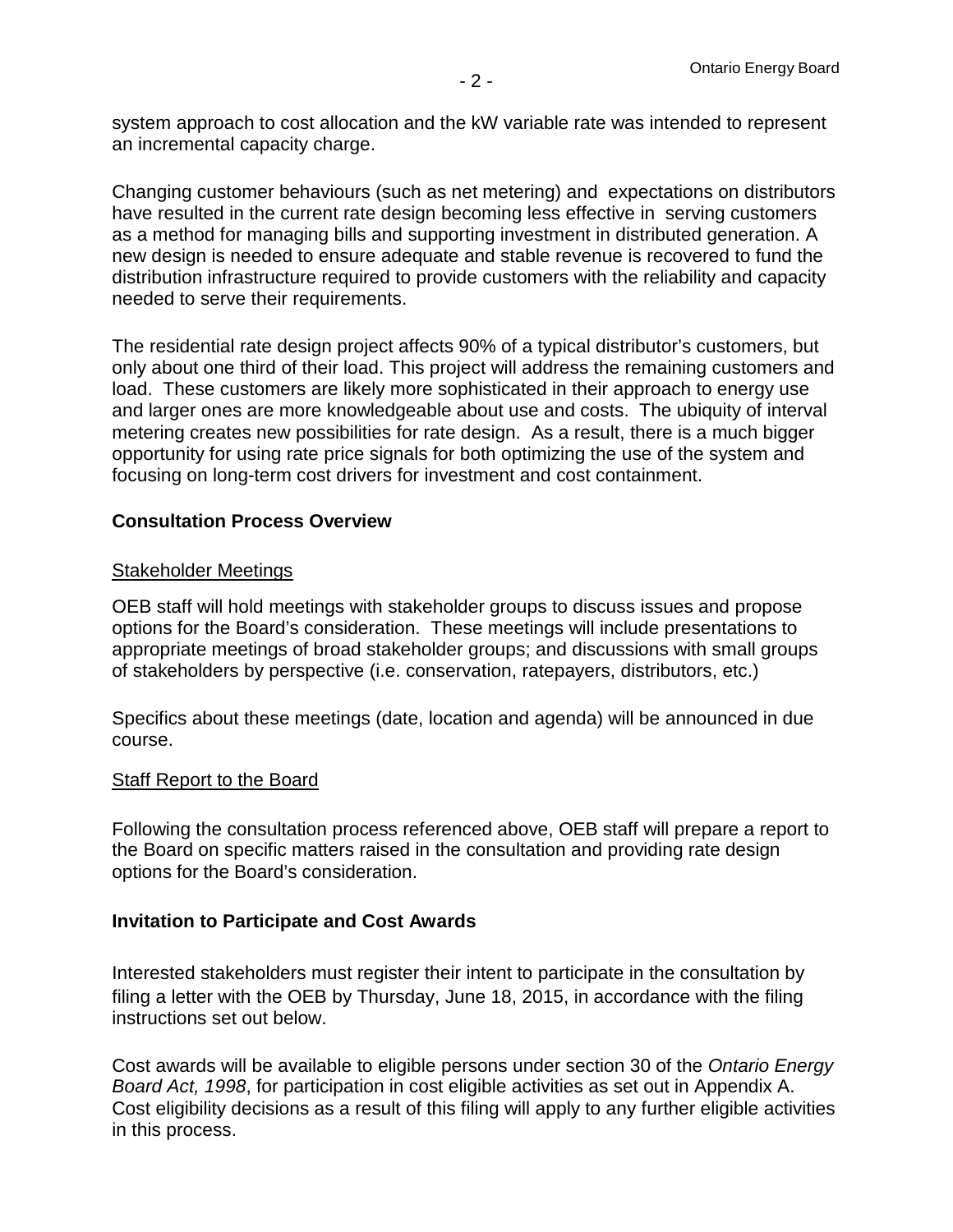system approach to cost allocation and the kW variable rate was intended to represent an incremental capacity charge.

Changing customer behaviours (such as net metering) and expectations on distributors have resulted in the current rate design becoming less effective in serving customers as a method for managing bills and supporting investment in distributed generation. A new design is needed to ensure adequate and stable revenue is recovered to fund the distribution infrastructure required to provide customers with the reliability and capacity needed to serve their requirements.

The residential rate design project affects 90% of a typical distributor's customers, but only about one third of their load. This project will address the remaining customers and load. These customers are likely more sophisticated in their approach to energy use and larger ones are more knowledgeable about use and costs. The ubiquity of interval metering creates new possibilities for rate design. As a result, there is a much bigger opportunity for using rate price signals for both optimizing the use of the system and focusing on long-term cost drivers for investment and cost containment.

### **Consultation Process Overview**

### Stakeholder Meetings

OEB staff will hold meetings with stakeholder groups to discuss issues and propose options for the Board's consideration. These meetings will include presentations to appropriate meetings of broad stakeholder groups; and discussions with small groups of stakeholders by perspective (i.e. conservation, ratepayers, distributors, etc.)

Specifics about these meetings (date, location and agenda) will be announced in due course.

### Staff Report to the Board

Following the consultation process referenced above, OEB staff will prepare a report to the Board on specific matters raised in the consultation and providing rate design options for the Board's consideration.

### **Invitation to Participate and Cost Awards**

Interested stakeholders must register their intent to participate in the consultation by filing a letter with the OEB by Thursday, June 18, 2015, in accordance with the filing instructions set out below.

Cost awards will be available to eligible persons under section 30 of the *Ontario Energy Board Act, 1998*, for participation in cost eligible activities as set out in Appendix A. Cost eligibility decisions as a result of this filing will apply to any further eligible activities in this process.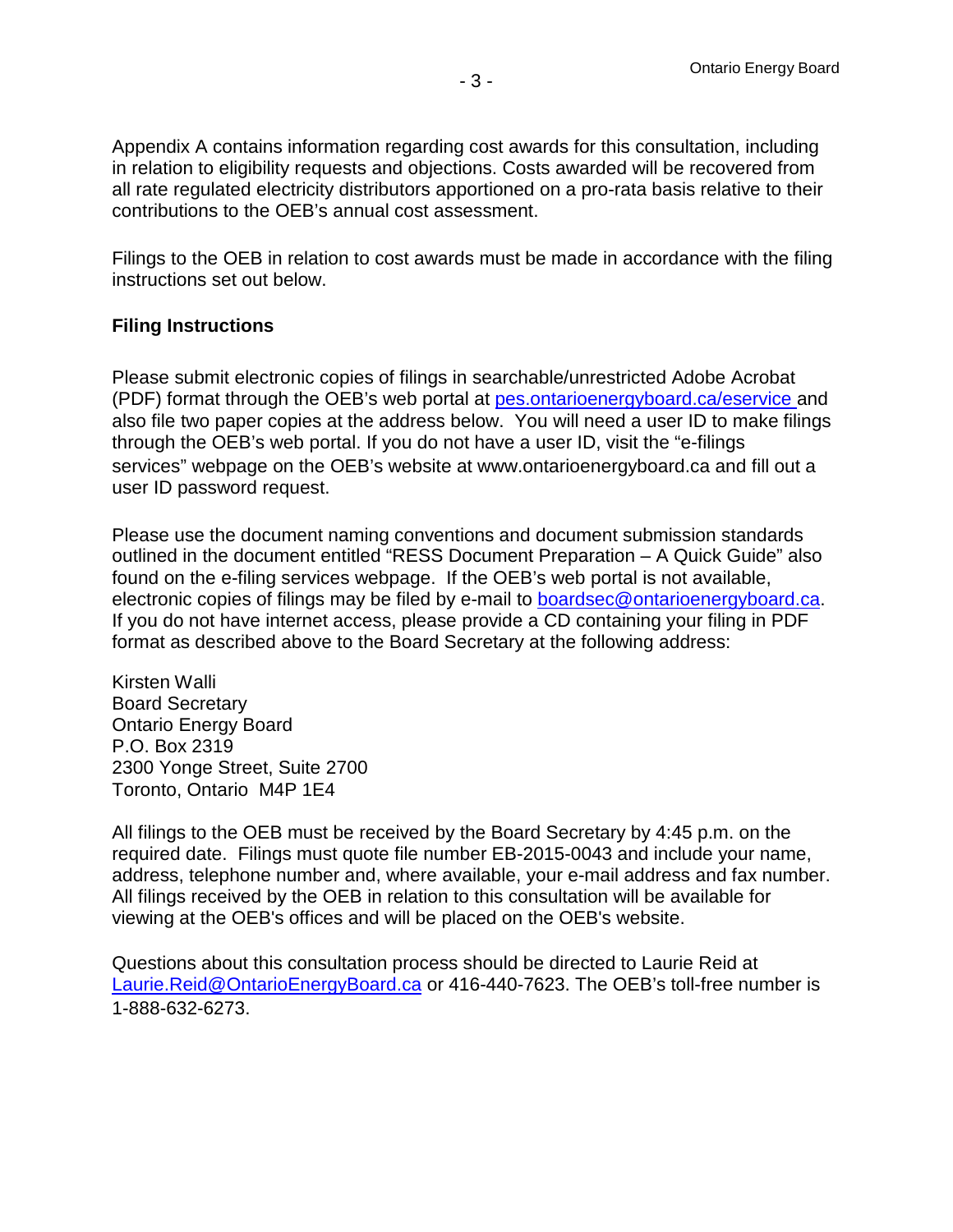Appendix A contains information regarding cost awards for this consultation, including in relation to eligibility requests and objections. Costs awarded will be recovered from all rate regulated electricity distributors apportioned on a pro-rata basis relative to their contributions to the OEB's annual cost assessment.

Filings to the OEB in relation to cost awards must be made in accordance with the filing instructions set out below.

### **Filing Instructions**

Please submit electronic copies of filings in searchable/unrestricted Adobe Acrobat (PDF) format through the OEB's web portal at [pes.ontarioenergyboard.ca/eservice a](http://www.pes.ontarioenergyboard.ca/eservice/)nd also file two paper copies at the address below. You will need a user ID to make filings through the OEB's web portal. If you do not have a user ID, visit the ["e-filings](http://www.ontarioenergyboard.ca/OEB/Industry/Regulatory%20Proceedings/e-Filing%20Services) [services"](http://www.ontarioenergyboard.ca/OEB/Industry/Regulatory%20Proceedings/e-Filing%20Services) webpage on the OEB's website at [www.ontarioenergyboard.ca a](http://www.ontarioenergyboard.ca/)nd fill out a user ID password request.

Please use the document naming conventions and document submission standards outlined in the document entitled "RESS Document Preparation – A Quick Guide" also found on the e-filing services webpage. If the OEB's web portal is not available, electronic copies of filings may be filed by e-mail to [boardsec@ontarioenergyboard.ca.](mailto:boardsec@ontarioenergyboard.ca) If you do not have internet access, please provide a CD containing your filing in PDF format as described above to the Board Secretary at the following address:

Kirsten Walli Board Secretary Ontario Energy Board P.O. Box 2319 2300 Yonge Street, Suite 2700 Toronto, Ontario M4P 1E4

All filings to the OEB must be received by the Board Secretary by 4:45 p.m. on the required date. Filings must quote file number EB-2015-0043 and include your name, address, telephone number and, where available, your e-mail address and fax number. All filings received by the OEB in relation to this consultation will be available for viewing at the OEB's offices and will be placed on the OEB's website.

Questions about this consultation process should be directed to Laurie Reid at [Laurie.Reid@OntarioEnergyBoard.ca](mailto:Laurie.Reid@OntarioEnergyBoard.ca) or 416-440-7623. The OEB's toll-free number is 1-888-632-6273.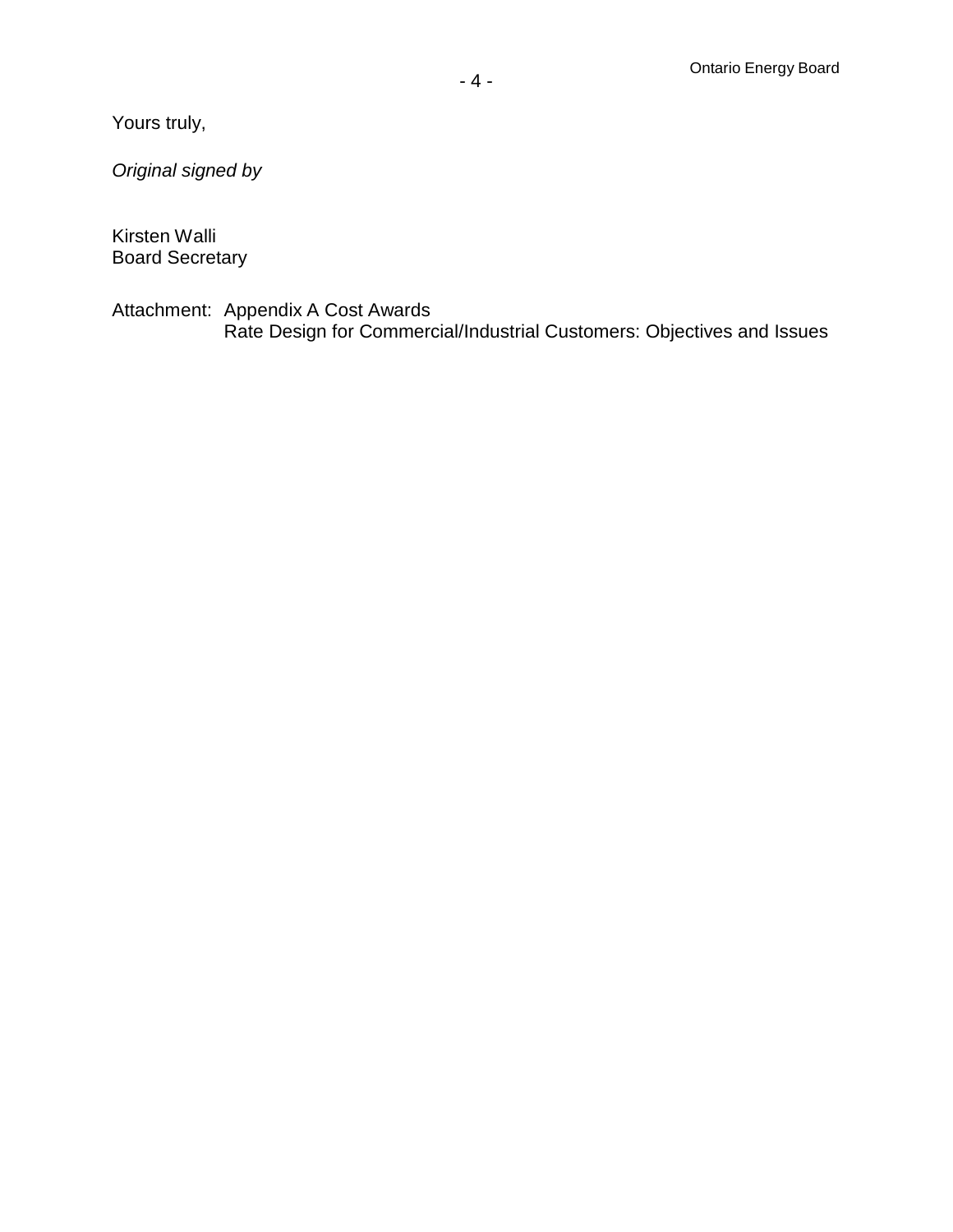Yours truly,

*Original signed by*

Kirsten Walli Board Secretary

Attachment: Appendix A Cost Awards Rate Design for Commercial/Industrial Customers: Objectives and Issues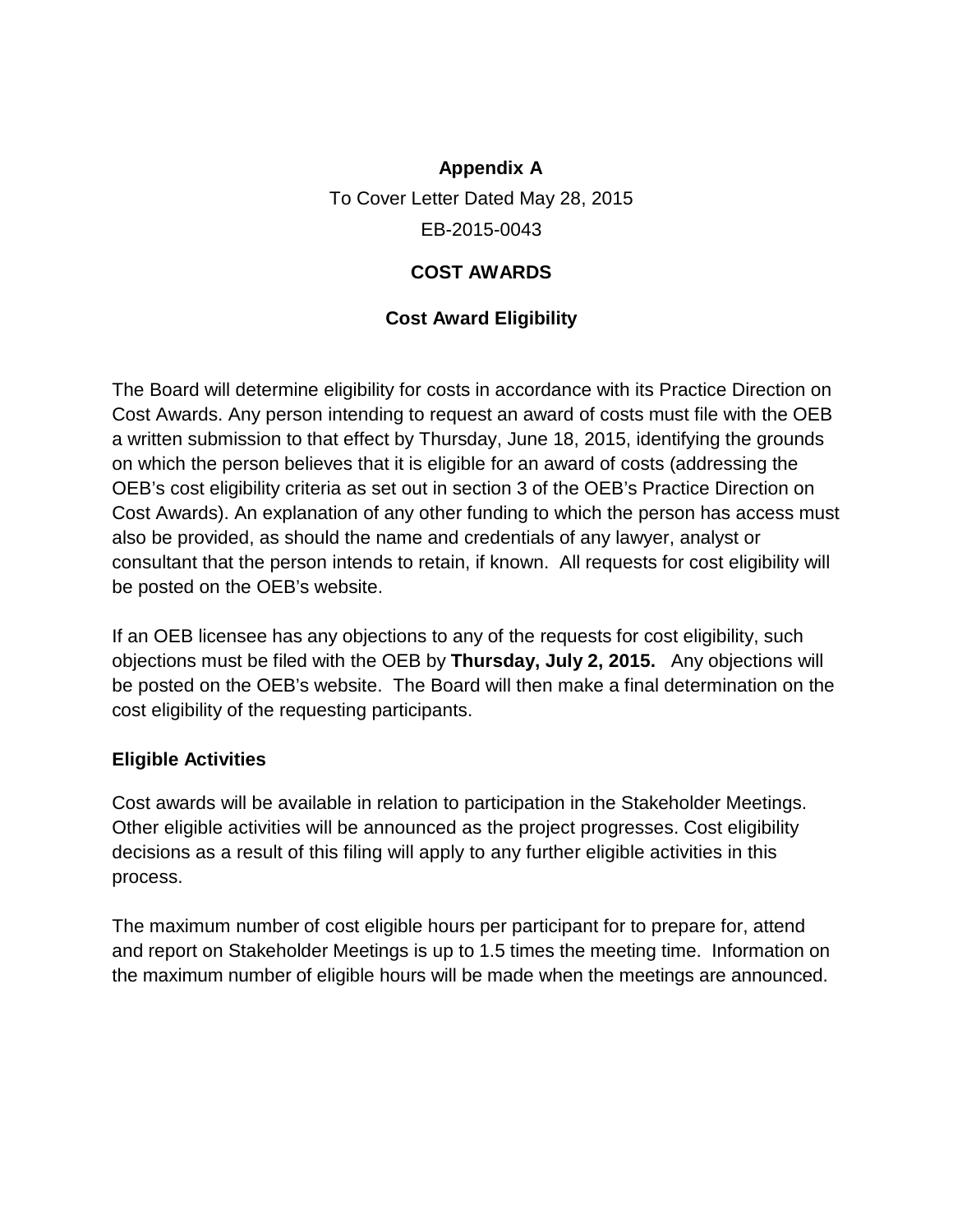# **Appendix A**

To Cover Letter Dated May 28, 2015 EB-2015-0043

# **COST AWARDS**

# **Cost Award Eligibility**

The Board will determine eligibility for costs in accordance with its Practice Direction on Cost Awards. Any person intending to request an award of costs must file with the OEB a written submission to that effect by Thursday, June 18, 2015, identifying the grounds on which the person believes that it is eligible for an award of costs (addressing the OEB's cost eligibility criteria as set out in section 3 of the OEB's Practice Direction on Cost Awards). An explanation of any other funding to which the person has access must also be provided, as should the name and credentials of any lawyer, analyst or consultant that the person intends to retain, if known. All requests for cost eligibility will be posted on the OEB's website.

If an OEB licensee has any objections to any of the requests for cost eligibility, such objections must be filed with the OEB by **Thursday, July 2, 2015.** Any objections will be posted on the OEB's website. The Board will then make a final determination on the cost eligibility of the requesting participants.

## **Eligible Activities**

Cost awards will be available in relation to participation in the Stakeholder Meetings. Other eligible activities will be announced as the project progresses. Cost eligibility decisions as a result of this filing will apply to any further eligible activities in this process.

The maximum number of cost eligible hours per participant for to prepare for, attend and report on Stakeholder Meetings is up to 1.5 times the meeting time. Information on the maximum number of eligible hours will be made when the meetings are announced.